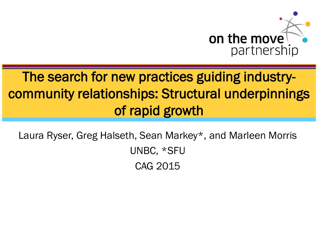

### The search for new practices guiding industrycommunity relationships: Structural underpinnings of rapid growth

Laura Ryser, Greg Halseth, Sean Markey\*, and Marleen Morris UNBC, \*SFU CAG 2015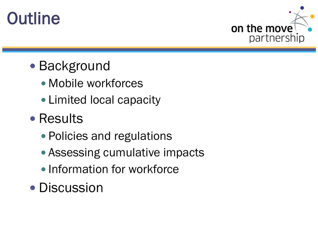



#### • Background

- Mobile workforces
- Limited local capacity
- Results
	- Policies and regulations
	- Assessing cumulative impacts
	- Information for workforce
- Discussion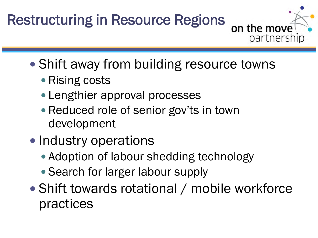## Restructuring in Resource Regions



- Shift away from building resource towns
	- Rising costs
	- Lengthier approval processes
	- Reduced role of senior gov'ts in town development
- Industry operations
	- Adoption of labour shedding technology
	- Search for larger labour supply
- Shift towards rotational / mobile workforce practices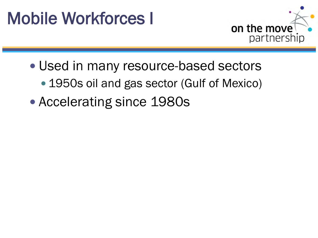## Mobile Workforces I



- Used in many resource-based sectors
	- 1950s oil and gas sector (Gulf of Mexico)
- Accelerating since 1980s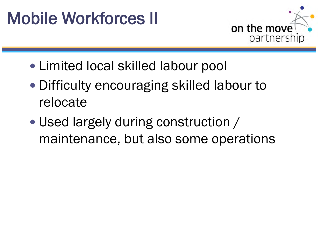# Mobile Workforces II



- Limited local skilled labour pool
- Difficulty encouraging skilled labour to relocate
- Used largely during construction / maintenance, but also some operations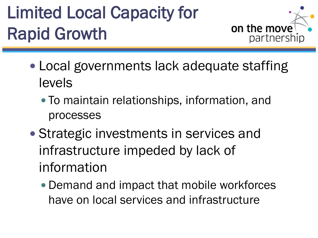# Limited Local Capacity for Rapid Growth



- Local governments lack adequate staffing levels
	- To maintain relationships, information, and processes
- Strategic investments in services and infrastructure impeded by lack of information
	- Demand and impact that mobile workforces have on local services and infrastructure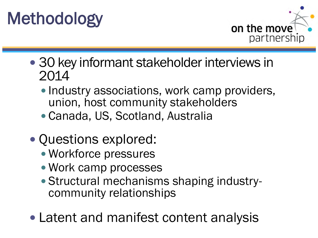



- 30 key informant stakeholder interviews in 2014
	- Industry associations, work camp providers, union, host community stakeholders
	- Canada, US, Scotland, Australia
- Questions explored:
	- Workforce pressures
	- Work camp processes
	- Structural mechanisms shaping industry- community relationships
- Latent and manifest content analysis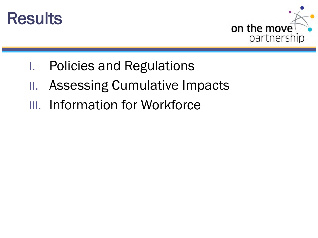



- I. Policies and Regulations
- II. Assessing Cumulative Impacts
- III. Information for Workforce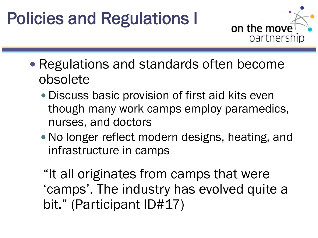# Policies and Regulations I



- Regulations and standards often become obsolete
	- Discuss basic provision of first aid kits even though many work camps employ paramedics, nurses, and doctors
	- No longer reflect modern designs, heating, and infrastructure in camps

"It all originates from camps that were 'camps'. The industry has evolved quite a bit." (Participant ID#17)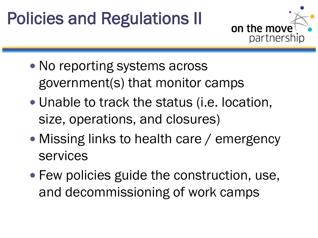# Policies and Regulations II



- No reporting systems across government(s) that monitor camps
- Unable to track the status (i.e. location, size, operations, and closures)
- Missing links to health care / emergency services
- Few policies guide the construction, use, and decommissioning of work camps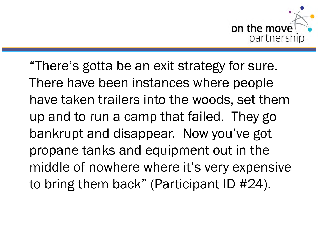

"There's gotta be an exit strategy for sure. There have been instances where people have taken trailers into the woods, set them up and to run a camp that failed. They go bankrupt and disappear. Now you've got propane tanks and equipment out in the middle of nowhere where it's very expensive to bring them back" (Participant ID #24).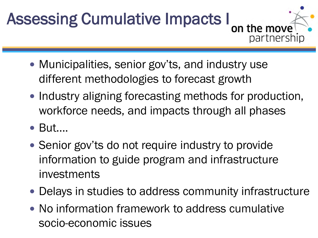# Assessing Cumulative Impacts I



- Municipalities, senior gov'ts, and industry use different methodologies to forecast growth
- Industry aligning forecasting methods for production, workforce needs, and impacts through all phases
- But….
- Senior gov'ts do not require industry to provide information to guide program and infrastructure investments
- Delays in studies to address community infrastructure
- No information framework to address cumulative socio-economic issues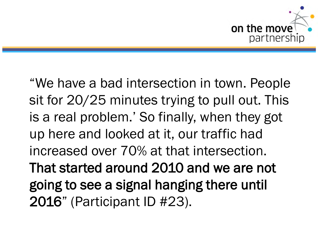

"We have a bad intersection in town. People sit for 20/25 minutes trying to pull out. This is a real problem.' So finally, when they got up here and looked at it, our traffic had increased over 70% at that intersection. That started around 2010 and we are not going to see a signal hanging there until 2016" (Participant ID #23).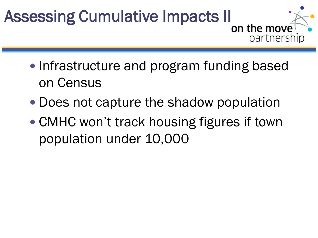# Assessing Cumulative Impacts II on the move

• Infrastructure and program funding based on Census

partnership

- Does not capture the shadow population
- CMHC won't track housing figures if town population under 10,000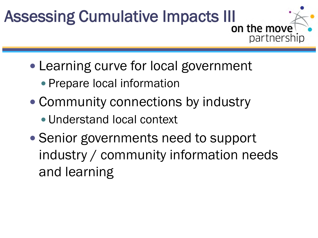# Assessing Cumulative Impacts III on the move

• Learning curve for local government

partnership

- Prepare local information
- Community connections by industry
	- Understand local context
- Senior governments need to support industry / community information needs and learning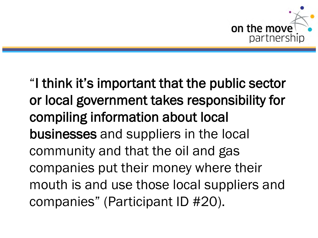

"I think it's important that the public sector or local government takes responsibility for compiling information about local businesses and suppliers in the local community and that the oil and gas companies put their money where their mouth is and use those local suppliers and companies" (Participant ID #20).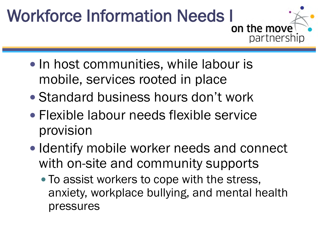# Workforce Information Needs I<br>on the move



- In host communities, while labour is mobile, services rooted in place
- Standard business hours don't work
- Flexible labour needs flexible service provision
- Identify mobile worker needs and connect with on-site and community supports
	- To assist workers to cope with the stress, anxiety, workplace bullying, and mental health pressures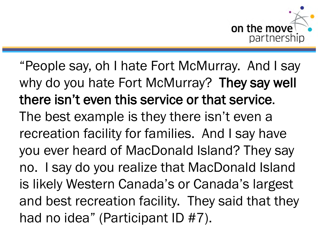

"People say, oh I hate Fort McMurray. And I say why do you hate Fort McMurray? They say well there isn't even this service or that service. The best example is they there isn't even a recreation facility for families. And I say have you ever heard of MacDonald Island? They say no. I say do you realize that MacDonald Island is likely Western Canada's or Canada's largest and best recreation facility. They said that they had no idea" (Participant ID #7).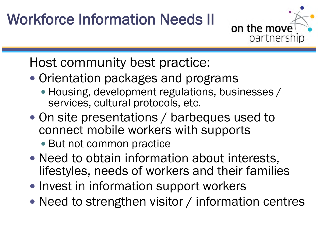## Workforce Information Needs II



Host community best practice:

- Orientation packages and programs
	- Housing, development regulations, businesses / services, cultural protocols, etc.
- On site presentations / barbeques used to connect mobile workers with supports
	- But not common practice
- Need to obtain information about interests, lifestyles, needs of workers and their families
- Invest in information support workers
- Need to strengthen visitor / information centres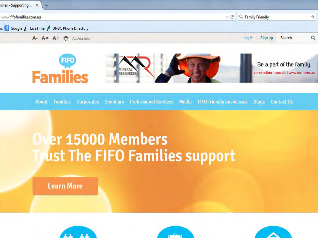

### **Over 15000 Members** ust The FIFO Families support

**Learn More** 





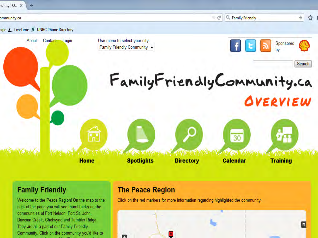

#### **Family Friendly**

Welcome to the Peace Region! On the map to the right of the page you will see thumbtacks on the communities of Fort Nelson, Fort St. John. Dawson Creek, Chetwynd and Tumbler Ridge They are all a part of our Family Friendly Community. Click on the community you'd like to

#### **The Peace Region**

Click on the red markers for more information regarding highlighted the community.

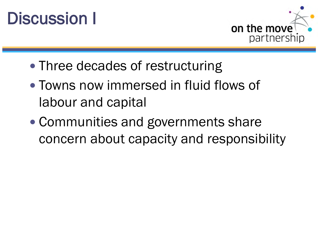



- Three decades of restructuring
- Towns now immersed in fluid flows of labour and capital
- Communities and governments share concern about capacity and responsibility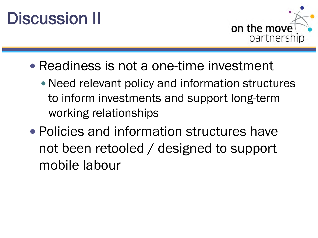# Discussion II



- Readiness is not a one-time investment
	- Need relevant policy and information structures to inform investments and support long-term working relationships
- Policies and information structures have not been retooled / designed to support mobile labour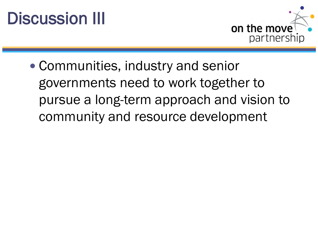# Discussion III



 Communities, industry and senior governments need to work together to pursue a long-term approach and vision to community and resource development